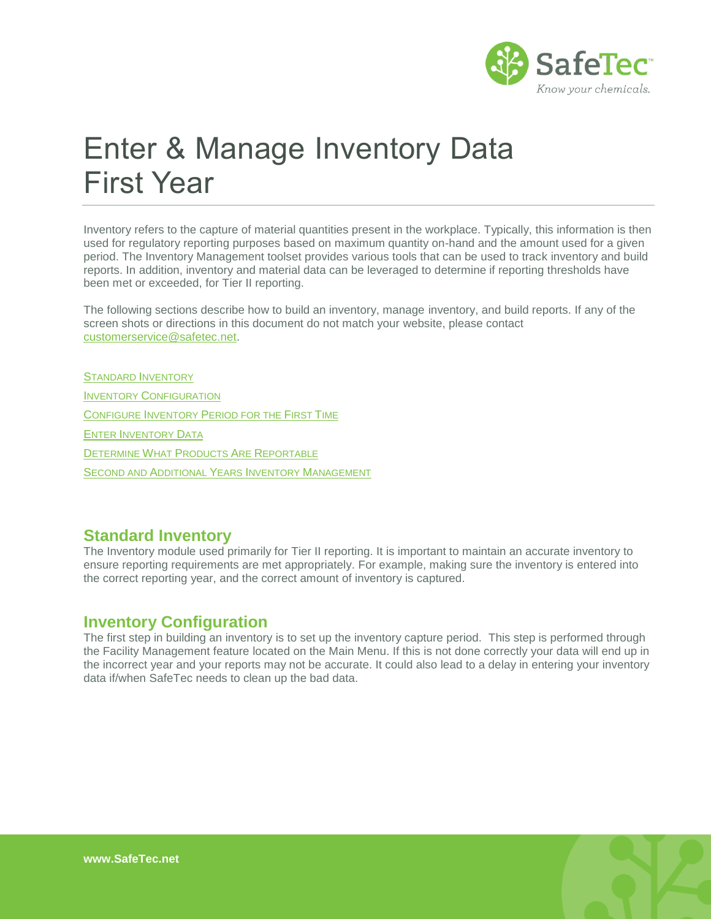

# Enter & Manage Inventory Data First Year

Inventory refers to the capture of material quantities present in the workplace. Typically, this information is then used for regulatory reporting purposes based on maximum quantity on-hand and the amount used for a given period. The Inventory Management toolset provides various tools that can be used to track inventory and build reports. In addition, inventory and material data can be leveraged to determine if reporting thresholds have been met or exceeded, for Tier II reporting.

The following sections describe how to build an inventory, manage inventory, and build reports. If any of the screen shots or directions in this document do not match your website, please contact [customerservice@safetec.net.](mailto:customerservice@safetec.net)

STANDARD I[NVENTORY](#page-0-0) INVENTORY C[ONFIGURATION](#page-0-1) CONFIGURE INVENTORY P[ERIOD FOR THE](#page-1-0) FIRST TIME ENTER I[NVENTORY](#page-2-0) DATA DETERMINE WHAT PRODUCTS ARE R[EPORTABLE](#page-7-0) SECOND AND ADDITIONAL YEARS INVENTORY M[ANAGEMENT](#page-9-0)

#### <span id="page-0-0"></span>**Standard Inventory**

The Inventory module used primarily for Tier II reporting. It is important to maintain an accurate inventory to ensure reporting requirements are met appropriately. For example, making sure the inventory is entered into the correct reporting year, and the correct amount of inventory is captured.

#### <span id="page-0-1"></span>**Inventory Configuration**

The first step in building an inventory is to set up the inventory capture period. This step is performed through the Facility Management feature located on the Main Menu. If this is not done correctly your data will end up in the incorrect year and your reports may not be accurate. It could also lead to a delay in entering your inventory data if/when SafeTec needs to clean up the bad data.

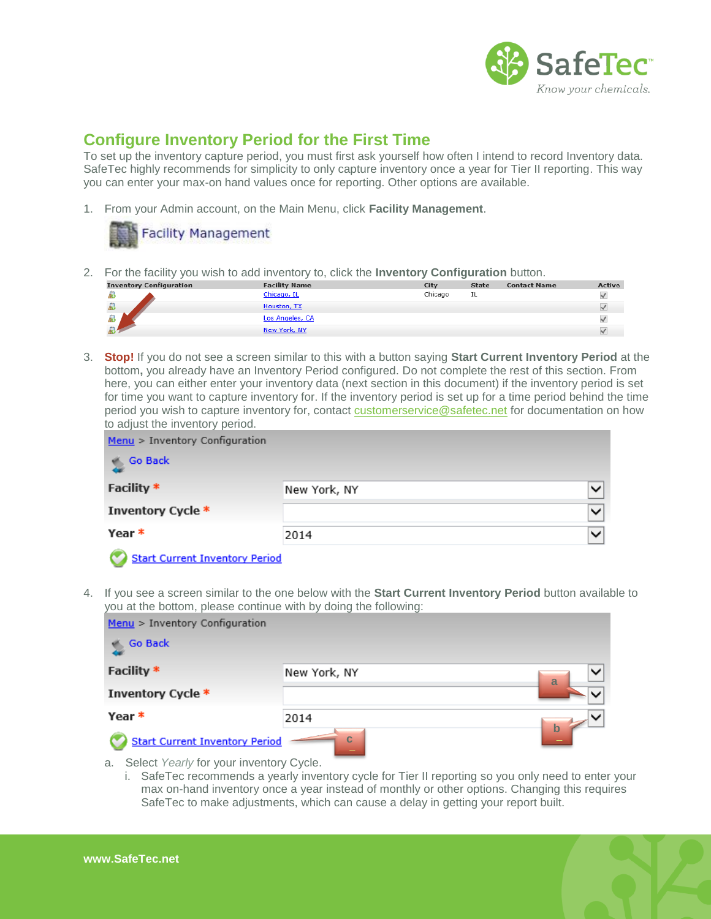

### <span id="page-1-0"></span>**Configure Inventory Period for the First Time**

To set up the inventory capture period, you must first ask yourself how often I intend to record Inventory data. SafeTec highly recommends for simplicity to only capture inventory once a year for Tier II reporting. This way you can enter your max-on hand values once for reporting. Other options are available.

1. From your Admin account, on the Main Menu, click **Facility Management**.



2. For the facility you wish to add inventory to, click the **Inventory Configuration** button.

| <b>Inventory Configuration</b> | <b>Facility Name</b> | City    | <b>State</b> | <b>Contact Name</b> | <b>Active</b> |
|--------------------------------|----------------------|---------|--------------|---------------------|---------------|
|                                | Chicago, IL          | Chicago | IL           |                     |               |
| 条                              | Houston, TX          |         |              |                     |               |
| $\overline{\mathbf{a}}$        | Los Angeles, CA      |         |              |                     |               |
| as.                            | New York, NY         |         |              |                     |               |

3. **Stop!** If you do not see a screen similar to this with a button saying **Start Current Inventory Period** at the bottom**,** you already have an Inventory Period configured. Do not complete the rest of this section. From here, you can either enter your inventory data (next section in this document) if the inventory period is set for time you want to capture inventory for. If the inventory period is set up for a time period behind the time period you wish to capture inventory for, contact [customerservice@safetec.net](mailto:customerservice@safetec.net) for documentation on how to adjust the inventory period.

| $Menu > Inventory Configuration$          |              |              |
|-------------------------------------------|--------------|--------------|
| <b>Go Back</b>                            |              |              |
| Facility *                                | New York, NY | Y            |
| Inventory Cycle *                         |              | $\checkmark$ |
| Year *                                    | 2014         | $\checkmark$ |
| <b>Service Contract Contract Contract</b> |              |              |

Start Current Inventory Period

4. If you see a screen similar to the one below with the **Start Current Inventory Period** button available to you at the bottom, please continue with by doing the following:

| $Menu > Inventory Configuration$      |              |                   |
|---------------------------------------|--------------|-------------------|
| <b>Go Back</b>                        |              |                   |
| Facility *                            | New York, NY | $\checkmark$<br>a |
| Inventory Cycle *                     |              |                   |
| Year *                                | 2014         |                   |
| <b>Start Current Inventory Period</b> | $\mathbf C$  | $\mathbf b$       |

- a. Select *Yearly* for your inventory Cycle.
	- i. SafeTec recommends a yearly inventory cycle for Tier II reporting so you only need to enter your max on-hand inventory once a year instead of monthly or other options. Changing this requires SafeTec to make adjustments, which can cause a delay in getting your report built.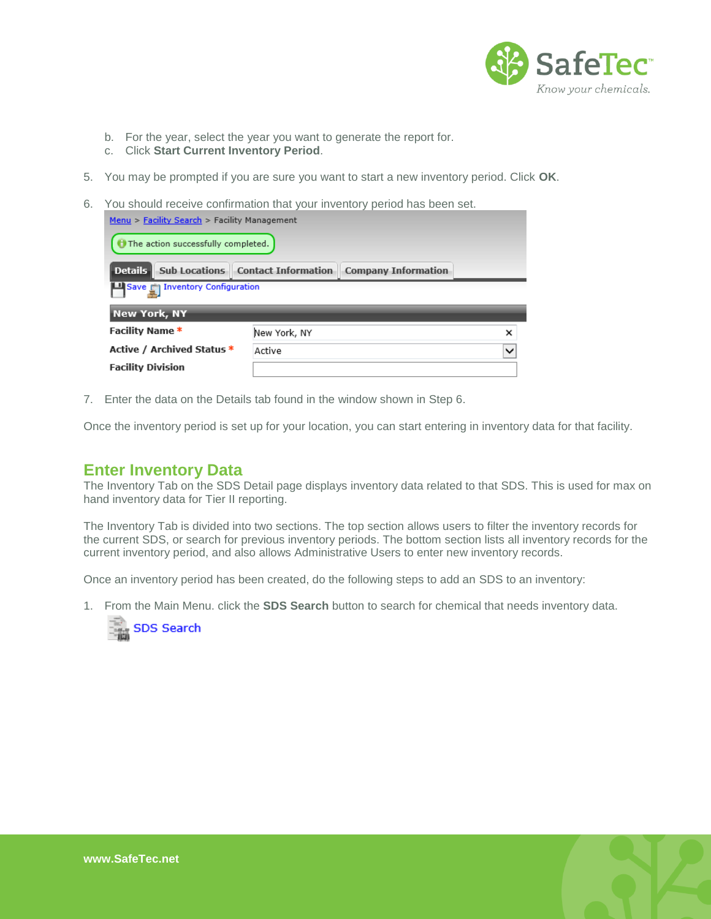

- b. For the year, select the year you want to generate the report for.
- c. Click **Start Current Inventory Period**.
- 5. You may be prompted if you are sure you want to start a new inventory period. Click **OK**.
- 6. You should receive confirmation that your inventory period has been set. Menu > Facility Search > Facility Management

| The action successfully completed.                                      |              |   |  |  |  |
|-------------------------------------------------------------------------|--------------|---|--|--|--|
| <b>Details Sub Locations Contact Information</b><br>Company Information |              |   |  |  |  |
| Save <b>Enventory Configuration</b>                                     |              |   |  |  |  |
| <b>New York, NY</b>                                                     |              |   |  |  |  |
| <b>Facility Name *</b>                                                  | New York, NY | × |  |  |  |
| Active / Archived Status *<br>Active<br>$\checkmark$                    |              |   |  |  |  |
| <b>Facility Division</b>                                                |              |   |  |  |  |

7. Enter the data on the Details tab found in the window shown in Step 6.

<span id="page-2-0"></span>Once the inventory period is set up for your location, you can start entering in inventory data for that facility.

#### **Enter Inventory Data**

The Inventory Tab on the SDS Detail page displays inventory data related to that SDS. This is used for max on hand inventory data for Tier II reporting.

The Inventory Tab is divided into two sections. The top section allows users to filter the inventory records for the current SDS, or search for previous inventory periods. The bottom section lists all inventory records for the current inventory period, and also allows Administrative Users to enter new inventory records.

Once an inventory period has been created, do the following steps to add an SDS to an inventory:

1. From the Main Menu. click the **SDS Search** button to search for chemical that needs inventory data.



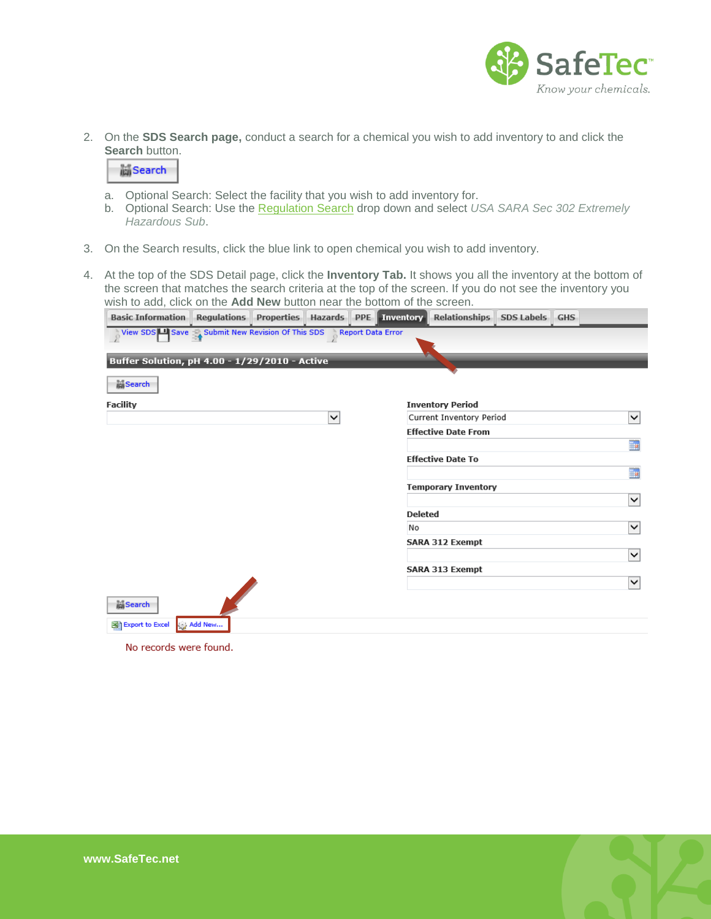

2. On the **SDS Search page,** conduct a search for a chemical you wish to add inventory to and click the **Search button.** 

**M**Search

- a. Optional Search: Select the facility that you wish to add inventory for.
- b. Optional Search: Use the [Regulation Search](http://www.safetec.net/wp-content/uploads/2014/08/help-find-list-of-products-on-a-regulation-1.pdf) drop down and select *USA SARA Sec 302 Extremely Hazardous Sub*.
- 3. On the Search results, click the blue link to open chemical you wish to add inventory.
- 4. At the top of the SDS Detail page, click the **Inventory Tab.** It shows you all the inventory at the bottom of the screen that matches the search criteria at the top of the screen. If you do not see the inventory you wish to add, click on the **Add New** button near the bottom of the screen.

| <b>Basic Information</b>                                        | <b>Regulations</b> | <b>Properties</b> |              | Hazards PPE Inventory | <b>Relationships</b>       | <b>SDS Labels GHS</b> |              |
|-----------------------------------------------------------------|--------------------|-------------------|--------------|-----------------------|----------------------------|-----------------------|--------------|
| View SDS Save Submit New Revision Of This SDS Report Data Error |                    |                   |              |                       |                            |                       |              |
| Buffer Solution, pH 4.00 - 1/29/2010 - Active                   |                    |                   |              |                       |                            |                       |              |
|                                                                 |                    |                   |              |                       |                            |                       |              |
| <b>Search</b>                                                   |                    |                   |              |                       |                            |                       |              |
| <b>Facility</b>                                                 |                    |                   |              |                       | <b>Inventory Period</b>    |                       |              |
|                                                                 |                    |                   | $\checkmark$ |                       | Current Inventory Period   |                       | ∣∨           |
|                                                                 |                    |                   |              |                       | <b>Effective Date From</b> |                       |              |
|                                                                 |                    |                   |              |                       |                            |                       | H            |
|                                                                 |                    |                   |              |                       | <b>Effective Date To</b>   |                       |              |
|                                                                 |                    |                   |              |                       |                            |                       | H            |
|                                                                 |                    |                   |              |                       | <b>Temporary Inventory</b> |                       |              |
|                                                                 |                    |                   |              | <b>Deleted</b>        |                            |                       | $\checkmark$ |
|                                                                 |                    |                   |              | No                    |                            |                       | $\checkmark$ |
|                                                                 |                    |                   |              |                       | <b>SARA 312 Exempt</b>     |                       |              |
|                                                                 |                    |                   |              |                       |                            |                       | ∣∨           |
|                                                                 |                    |                   |              |                       | <b>SARA 313 Exempt</b>     |                       |              |
|                                                                 |                    |                   |              |                       |                            |                       | ▽            |
| <b>高Search</b>                                                  |                    |                   |              |                       |                            |                       |              |
| Export to Excel                                                 | Add New            |                   |              |                       |                            |                       |              |

No records were found.

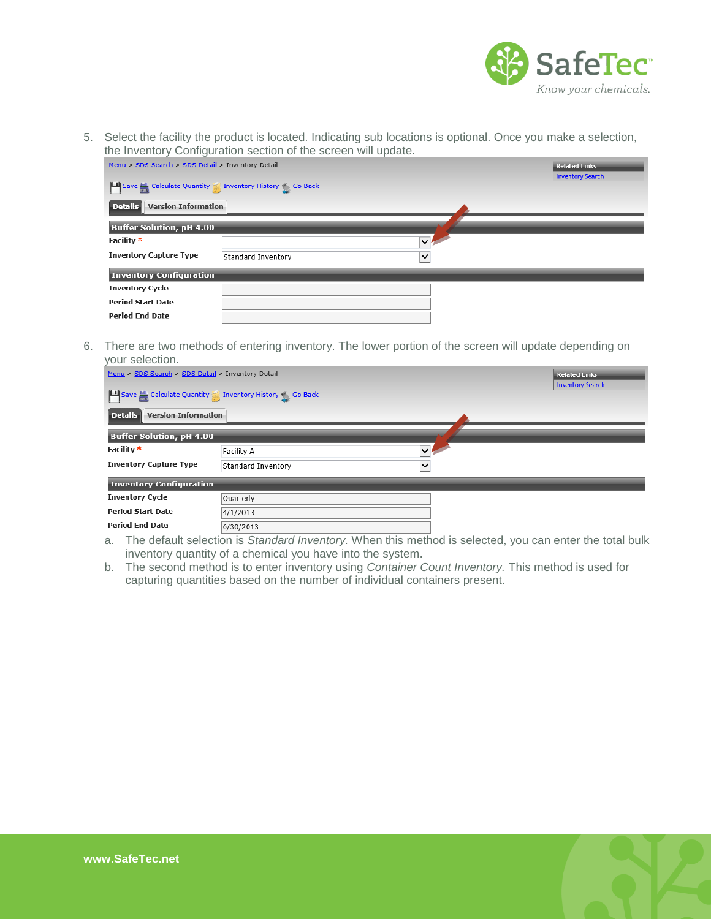

5. Select the facility the product is located. Indicating sub locations is optional. Once you make a selection, the Inventory Configuration section of the screen will update.

| Menu > SDS Search > SDS Detail > Inventory Detail |                                                                              | <b>Related Links</b> |  |  |  |
|---------------------------------------------------|------------------------------------------------------------------------------|----------------------|--|--|--|
|                                                   | <b>Inventory Search</b><br>Save Calculate Quantity Inventory History So Back |                      |  |  |  |
| <b>Version Information</b><br>Details             |                                                                              |                      |  |  |  |
| <b>Buffer Solution, pH 4.00</b>                   |                                                                              |                      |  |  |  |
| Facility *                                        | $\vee$                                                                       |                      |  |  |  |
| <b>Inventory Capture Type</b>                     | Standard Inventory<br>$\checkmark$                                           |                      |  |  |  |
| <b>Inventory Configuration</b>                    |                                                                              |                      |  |  |  |
| <b>Inventory Cycle</b>                            |                                                                              |                      |  |  |  |
| <b>Period Start Date</b>                          |                                                                              |                      |  |  |  |
| <b>Period End Date</b>                            |                                                                              |                      |  |  |  |

6. There are two methods of entering inventory. The lower portion of the screen will update depending on your selection.

| Menu > SDS Search > SDS Detail > Inventory Detail               |                    |                     | <b>Related Links</b>    |
|-----------------------------------------------------------------|--------------------|---------------------|-------------------------|
|                                                                 |                    |                     | <b>Inventory Search</b> |
| Save <sub>on</sub> Calculate Quantity Inventory History So Back |                    |                     |                         |
| <b>Version Information</b><br>$\vert$ Details $\vert$           |                    |                     |                         |
| <b>Buffer Solution, pH 4.00</b>                                 |                    |                     |                         |
| Facility *                                                      | Facility A         | $\overline{\nabla}$ |                         |
| <b>Inventory Capture Type</b>                                   | Standard Inventory | $\checkmark$        |                         |
| <b>Inventory Configuration</b>                                  |                    |                     |                         |
| <b>Inventory Cycle</b>                                          | Quarterly          |                     |                         |
| <b>Period Start Date</b>                                        | 4/1/2013           |                     |                         |
| <b>Period End Date</b>                                          | 6/30/2013          |                     |                         |

- a. The default selection is *Standard Inventory.* When this method is selected, you can enter the total bulk inventory quantity of a chemical you have into the system.
- b. The second method is to enter inventory using *Container Count Inventory.* This method is used for capturing quantities based on the number of individual containers present.

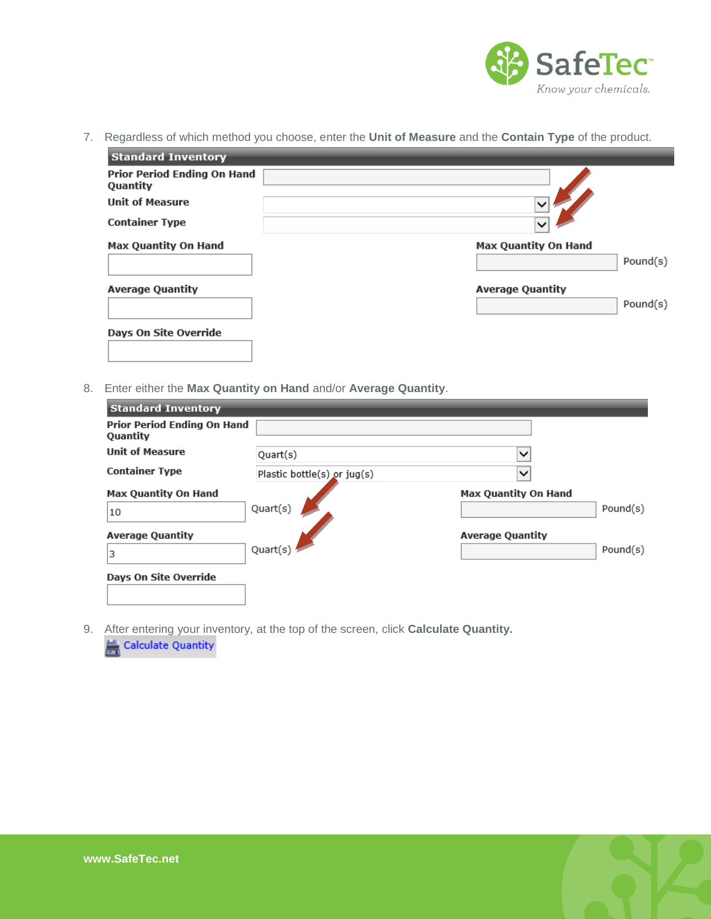

7. Regardless of which method you choose, enter the **Unit of Measure** and the **Contain Type** of the product.

| <b>Standard Inventory</b>               |                             |
|-----------------------------------------|-----------------------------|
| Prior Period Ending On Hand<br>Quantity |                             |
| <b>Unit of Measure</b>                  | $\checkmark$                |
| <b>Container Type</b>                   | $\checkmark$                |
| <b>Max Quantity On Hand</b>             | <b>Max Quantity On Hand</b> |
|                                         | Pound(s)                    |
| <b>Average Quantity</b>                 | <b>Average Quantity</b>     |
|                                         | Pound(s)                    |
| Days On Site Override                   |                             |
|                                         |                             |

8. Enter either the **Max Quantity on Hand** and/or **Average Quantity**.

| <b>Standard Inventory</b>               |                             |                             |          |
|-----------------------------------------|-----------------------------|-----------------------------|----------|
| Prior Period Ending On Hand<br>Quantity |                             |                             |          |
| <b>Unit of Measure</b>                  | Quart(s)                    | $\checkmark$                |          |
| <b>Container Type</b>                   | Plastic bottle(s) or jug(s) | $\check{ }$                 |          |
| <b>Max Quantity On Hand</b>             |                             | <b>Max Quantity On Hand</b> |          |
| 10                                      | Quart(s)                    |                             | Pound(s) |
| <b>Average Quantity</b>                 |                             | <b>Average Quantity</b>     |          |
| 3                                       | Quart(s)                    |                             | Pound(s) |
| Days On Site Override                   |                             |                             |          |
|                                         |                             |                             |          |

9. After entering your inventory, at the top of the screen, click **Calculate Quantity.** 

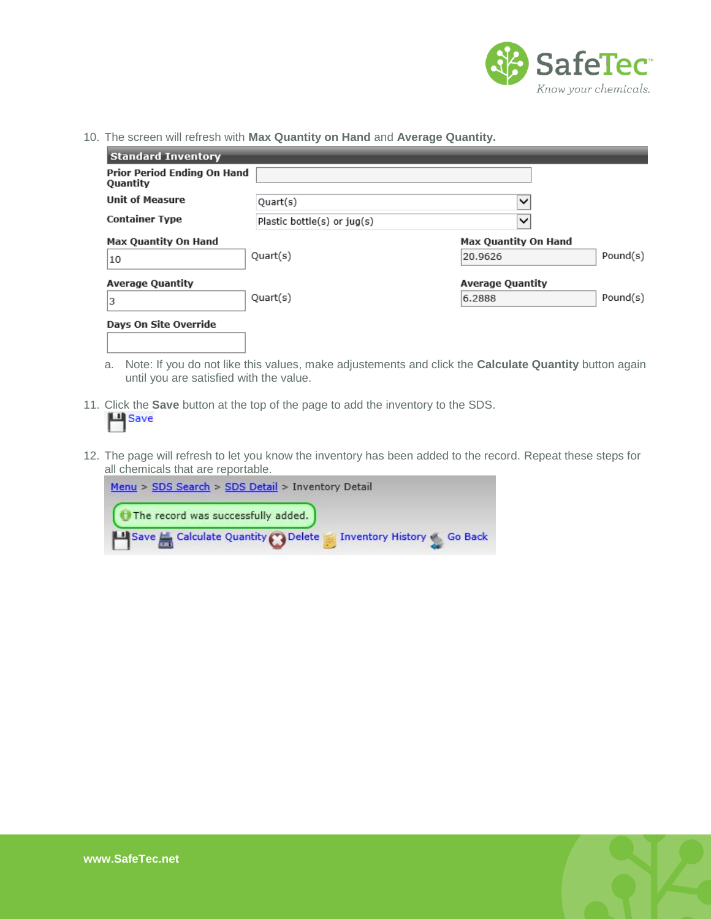

10. The screen will refresh with **Max Quantity on Hand** and **Average Quantity.**

| <b>Standard Inventory</b>                      |                             |                             |          |
|------------------------------------------------|-----------------------------|-----------------------------|----------|
| Prior Period Ending On Hand<br><b>Quantity</b> |                             |                             |          |
| <b>Unit of Measure</b>                         | Quart(s)                    | $\checkmark$                |          |
| <b>Container Type</b>                          | Plastic bottle(s) or jug(s) | $\checkmark$                |          |
| <b>Max Quantity On Hand</b>                    |                             | <b>Max Quantity On Hand</b> |          |
| 10                                             | Quart(s)                    | 20.9626                     | Pound(s) |
| <b>Average Quantity</b>                        |                             | <b>Average Quantity</b>     |          |
| 3                                              | Quart(s)                    | 6.2888                      | Pound(s) |
| Days On Site Override                          |                             |                             |          |
|                                                |                             |                             |          |

- a. Note: If you do not like this values, make adjustements and click the **Calculate Quantity** button again until you are satisfied with the value.
- 11. Click the **Save** button at the top of the page to add the inventory to the SDS.
- 12. The page will refresh to let you know the inventory has been added to the record. Repeat these steps for all chemicals that are reportable.



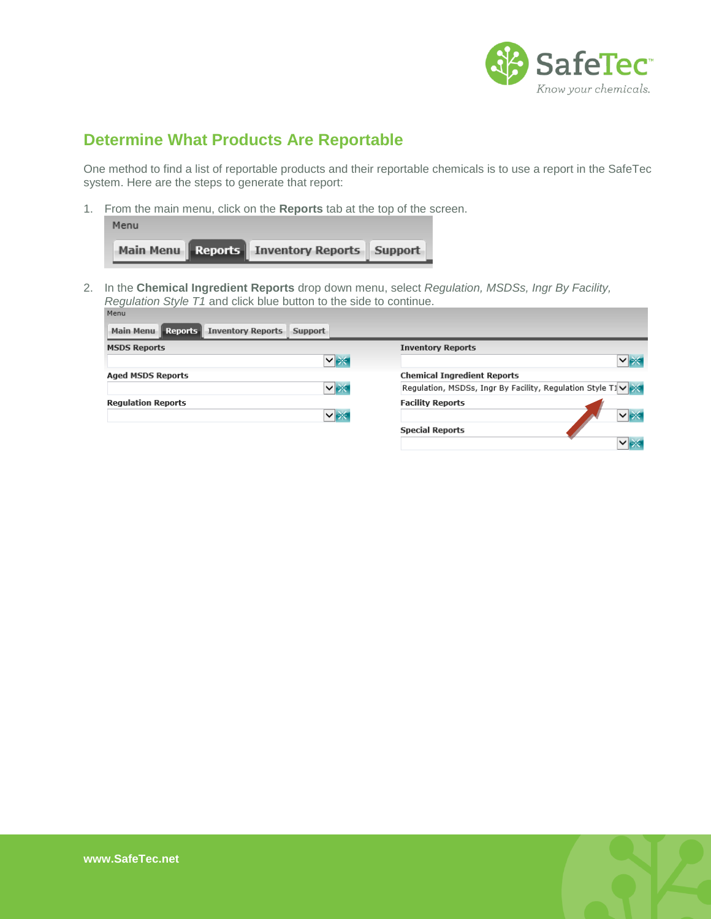

# <span id="page-7-0"></span>**Determine What Products Are Reportable**

One method to find a list of reportable products and their reportable chemicals is to use a report in the SafeTec system. Here are the steps to generate that report:

1. From the main menu, click on the **Reports** tab at the top of the screen.

| Menu                                        |  |
|---------------------------------------------|--|
| Main Menu Reports Inventory Reports Support |  |

2. In the **Chemical Ingredient Reports** drop down menu, select *Regulation, MSDSs, Ingr By Facility, Regulation Style T1* and click blue button to the side to continue.

| Main Menu   Reports  <br><b>Inventory Reports</b><br>Support |                                                            |
|--------------------------------------------------------------|------------------------------------------------------------|
| <b>MSDS Reports</b>                                          | <b>Inventory Reports</b>                                   |
| ▽★                                                           | $ v  \geq$                                                 |
| <b>Aged MSDS Reports</b>                                     | <b>Chemical Ingredient Reports</b>                         |
| ∨⊯                                                           | Regulation, MSDSs, Ingr By Facility, Regulation Style T1 V |
| <b>Regulation Reports</b>                                    | <b>Facility Reports</b>                                    |
| ▽ ※                                                          | $\vee$ $\rightarrow$                                       |
|                                                              | <b>Special Reports</b>                                     |
|                                                              | $\vee$ as                                                  |
|                                                              |                                                            |

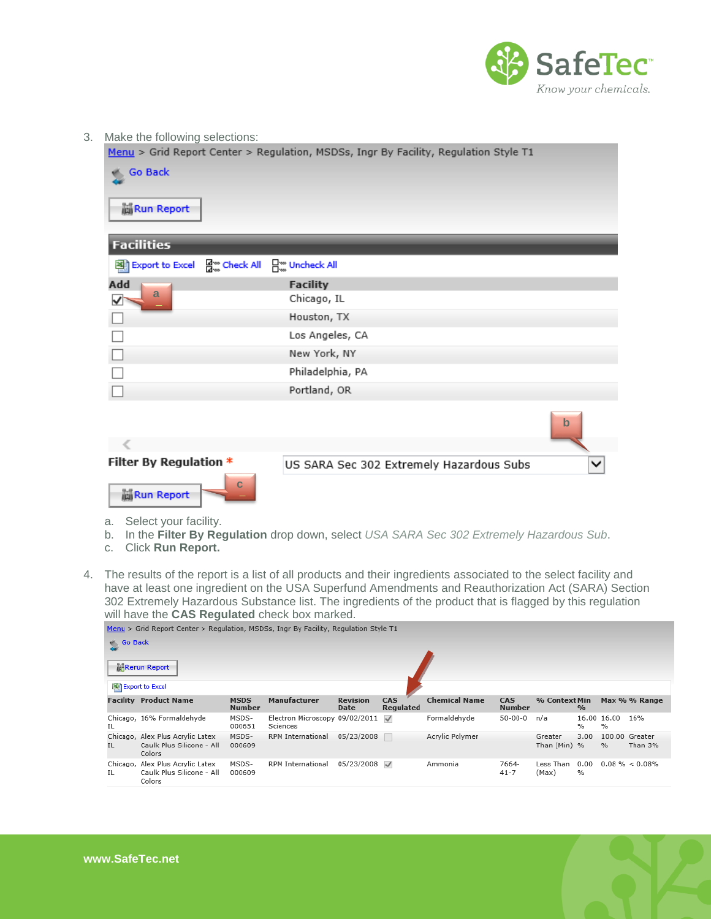

3. Make the following selections:

Menu > Grid Report Center > Regulation, MSDSs, Ingr By Facility, Regulation Style T1

| <b>Go Back</b>                                             |                                          |             |
|------------------------------------------------------------|------------------------------------------|-------------|
| <b>M</b> Run Report                                        |                                          |             |
| <b>Facilities</b>                                          |                                          |             |
| 델 Export to Excel 덤 check All                              | A Uncheck All                            |             |
| Add<br>a                                                   | <b>Facility</b>                          |             |
| $\blacktriangledown$                                       | Chicago, IL                              |             |
|                                                            | Houston, TX                              |             |
|                                                            | Los Angeles, CA                          |             |
|                                                            | New York, NY                             |             |
|                                                            | Philadelphia, PA                         |             |
|                                                            | Portland, OR                             |             |
|                                                            |                                          | $\mathbf b$ |
|                                                            |                                          |             |
| Filter By Regulation *<br>$\mathbf C$<br><b>Run Report</b> | US SARA Sec 302 Extremely Hazardous Subs |             |

- a. Select your facility.
- b. In the **Filter By Regulation** drop down, select *USA SARA Sec 302 Extremely Hazardous Sub*.
- c. Click **Run Report.**
- 4. The results of the report is a list of all products and their ingredients associated to the select facility and have at least one ingredient on the USA Superfund Amendments and Reauthorization Act (SARA) Section 302 Extremely Hazardous Substance list. The ingredients of the product that is flagged by this regulation will have the **CAS Regulated** check box marked.

| Menu > Grid Report Center > Regulation, MSDSs, Ingr By Facility, Regulation Style T1 |                                                                         |                              |                                            |                                |                  |                      |                      |                    |               |                     |                    |  |
|--------------------------------------------------------------------------------------|-------------------------------------------------------------------------|------------------------------|--------------------------------------------|--------------------------------|------------------|----------------------|----------------------|--------------------|---------------|---------------------|--------------------|--|
| Go Back                                                                              |                                                                         |                              |                                            |                                |                  |                      |                      |                    |               |                     |                    |  |
| <b>Rerun Report</b>                                                                  |                                                                         |                              |                                            |                                |                  |                      |                      |                    |               |                     |                    |  |
| 图 Export to Excel                                                                    |                                                                         |                              |                                            |                                |                  |                      |                      |                    |               |                     |                    |  |
|                                                                                      | <b>Facility Product Name</b>                                            | <b>MSDS</b><br><b>Number</b> | <b>Manufacturer</b>                        | <b>Revision</b><br><b>Date</b> | CAS<br>Regulated | <b>Chemical Name</b> | CAS<br><b>Number</b> | % Context Min      | $\frac{9}{6}$ |                     | Max % % Range      |  |
| IL                                                                                   | Chicago, 16% Formaldehyde                                               | MSDS-<br>000651              | Electron Microscopy 09/02/2011<br>Sciences |                                | $\checkmark$     | Formaldehyde         | $50 - 00 - 0$        | n/a                | %             | 16.00 16.00<br>$\%$ | 16%                |  |
|                                                                                      | Chicago, Alex Plus Acrylic Latex                                        | MSDS-                        | RPM International                          | 05/23/2008                     |                  | Acrylic Polymer      |                      | Greater            | 3.00          |                     | 100.00 Greater     |  |
| IL.                                                                                  | Caulk Plus Silicone - All<br>Colors                                     | 000609                       |                                            |                                |                  |                      |                      | Than (Min) %       |               | $\%$                | Than 3%            |  |
| IL                                                                                   | Chicago, Alex Plus Acrylic Latex<br>Caulk Plus Silicone - All<br>Colors | MSDS-<br>000609              | RPM International                          | 05/23/2008                     | $\checkmark$     | Ammonia              | 7664-<br>$41 - 7$    | Less Than<br>(Max) | 0.00<br>%     |                     | $0.08 \% < 0.08\%$ |  |